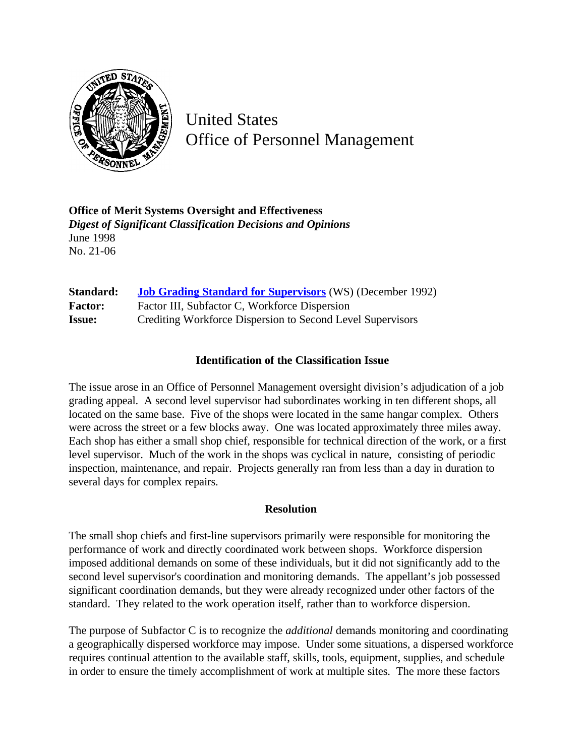

United States Office of Personnel Management

**Office of Merit Systems Oversight and Effectiveness** *Digest of Significant Classification Decisions and Opinions* June 1998 No. 21-06

| Standard:      | <b>Job Grading Standard for Supervisors</b> (WS) (December 1992) |
|----------------|------------------------------------------------------------------|
| <b>Factor:</b> | Factor III, Subfactor C, Workforce Dispersion                    |
| <b>Issue:</b>  | Crediting Workforce Dispersion to Second Level Supervisors       |

## **Identification of the Classification Issue**

The issue arose in an Office of Personnel Management oversight division's adjudication of a job grading appeal. A second level supervisor had subordinates working in ten different shops, all located on the same base. Five of the shops were located in the same hangar complex. Others were across the street or a few blocks away. One was located approximately three miles away. Each shop has either a small shop chief, responsible for technical direction of the work, or a first level supervisor. Much of the work in the shops was cyclical in nature, consisting of periodic inspection, maintenance, and repair. Projects generally ran from less than a day in duration to several days for complex repairs.

## **Resolution**

The small shop chiefs and first-line supervisors primarily were responsible for monitoring the performance of work and directly coordinated work between shops. Workforce dispersion imposed additional demands on some of these individuals, but it did not significantly add to the second level supervisor's coordination and monitoring demands. The appellant's job possessed significant coordination demands, but they were already recognized under other factors of the standard. They related to the work operation itself, rather than to workforce dispersion.

The purpose of Subfactor C is to recognize the *additional* demands monitoring and coordinating a geographically dispersed workforce may impose. Under some situations, a dispersed workforce requires continual attention to the available staff, skills, tools, equipment, supplies, and schedule in order to ensure the timely accomplishment of work at multiple sites. The more these factors